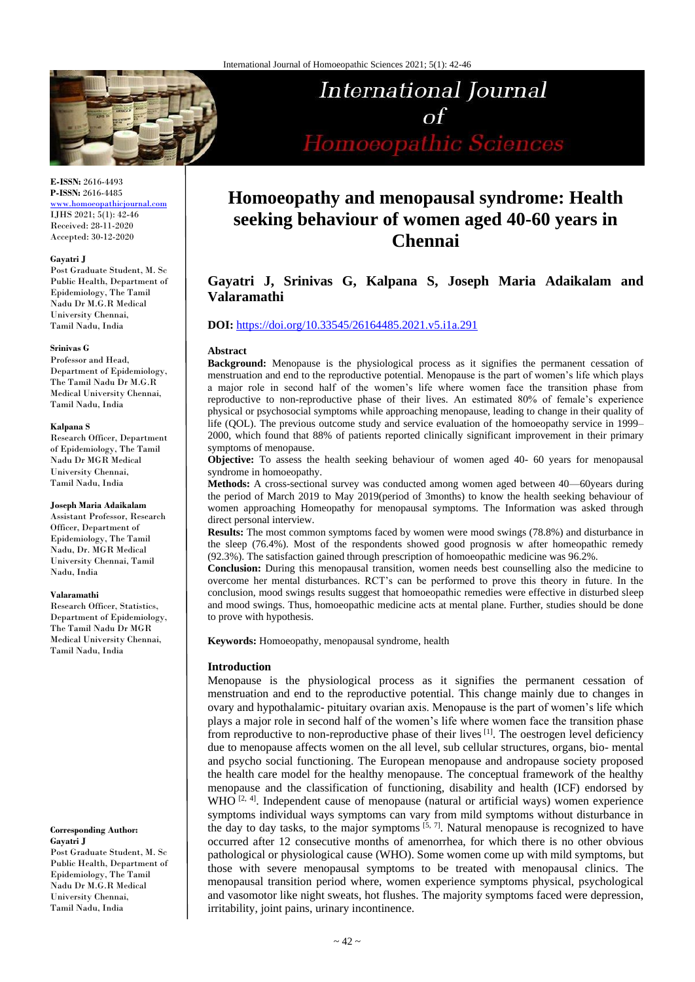

International Journal  $\alpha f$ Homoeopathic Sciences

## **E-ISSN:** 2616-4493 **P-ISSN:** 2616-4485

[www.homoeopathicjournal.com](file://///Server/test/homoeopathicjournal/issue/vol%204/issue%201/www.homoeopathicjournal.com) IJHS 2021; 5(1): 42-46 Received: 28-11-2020 Accepted: 30-12-2020

### **Gayatri J**

Post Graduate Student, M. Sc Public Health, Department of Epidemiology, The Tamil Nadu Dr M.G.R Medical University Chennai, Tamil Nadu, India

#### **Srinivas G**

Professor and Head, Department of Epidemiology, The Tamil Nadu Dr M.G.R Medical University Chennai, Tamil Nadu, India

#### **Kalpana S**

Research Officer, Department of Epidemiology, The Tamil Nadu Dr MGR Medical University Chennai, Tamil Nadu, India

#### **Joseph Maria Adaikalam**

Assistant Professor, Research Officer, Department of Epidemiology, The Tamil Nadu, Dr. MGR Medical University Chennai, Tamil Nadu, India

#### **Valaramathi**

Research Officer, Statistics, Department of Epidemiology, The Tamil Nadu Dr MGR Medical University Chennai, Tamil Nadu, India

## **Corresponding Author: Gayatri J**

Post Graduate Student, M. Sc Public Health, Department of Epidemiology, The Tamil Nadu Dr M.G.R Medical University Chennai, Tamil Nadu, India

# **Homoeopathy and menopausal syndrome: Health seeking behaviour of women aged 40-60 years in Chennai**

# **Gayatri J, Srinivas G, Kalpana S, Joseph Maria Adaikalam and Valaramathi**

# **DOI:** <https://doi.org/10.33545/26164485.2021.v5.i1a.291>

## **Abstract**

**Background:** Menopause is the physiological process as it signifies the permanent cessation of menstruation and end to the reproductive potential. Menopause is the part of women's life which plays a major role in second half of the women's life where women face the transition phase from reproductive to non-reproductive phase of their lives. An estimated 80% of female's experience physical or psychosocial symptoms while approaching menopause, leading to change in their quality of life (QOL). The previous outcome study and service evaluation of the homoeopathy service in 1999– 2000, which found that 88% of patients reported clinically significant improvement in their primary symptoms of menopause.

**Objective:** To assess the health seeking behaviour of women aged 40- 60 years for menopausal syndrome in homoeopathy.

**Methods:** A cross-sectional survey was conducted among women aged between 40—60years during the period of March 2019 to May 2019(period of 3months) to know the health seeking behaviour of women approaching Homeopathy for menopausal symptoms. The Information was asked through direct personal interview.

**Results:** The most common symptoms faced by women were mood swings (78.8%) and disturbance in the sleep (76.4%). Most of the respondents showed good prognosis w after homeopathic remedy (92.3%). The satisfaction gained through prescription of homoeopathic medicine was 96.2%.

**Conclusion:** During this menopausal transition, women needs best counselling also the medicine to overcome her mental disturbances. RCT's can be performed to prove this theory in future. In the conclusion, mood swings results suggest that homoeopathic remedies were effective in disturbed sleep and mood swings. Thus, homoeopathic medicine acts at mental plane. Further, studies should be done to prove with hypothesis.

**Keywords:** Homoeopathy, menopausal syndrome, health

# **Introduction**

Menopause is the physiological process as it signifies the permanent cessation of menstruation and end to the reproductive potential. This change mainly due to changes in ovary and hypothalamic- pituitary ovarian axis. Menopause is the part of women's life which plays a major role in second half of the women's life where women face the transition phase from reproductive to non-reproductive phase of their lives [1]. The oestrogen level deficiency due to menopause affects women on the all level, sub cellular structures, organs, bio- mental and psycho social functioning. The European menopause and andropause society proposed the health care model for the healthy menopause. The conceptual framework of the healthy menopause and the classification of functioning, disability and health (ICF) endorsed by WHO <sup>[2, 4]</sup>. Independent cause of menopause (natural or artificial ways) women experience symptoms individual ways symptoms can vary from mild symptoms without disturbance in the day to day tasks, to the major symptoms  $[5, 7]$ . Natural menopause is recognized to have occurred after 12 consecutive months of amenorrhea, for which there is no other obvious pathological or physiological cause (WHO). Some women come up with mild symptoms, but those with severe menopausal symptoms to be treated with menopausal clinics. The menopausal transition period where, women experience symptoms physical, psychological and vasomotor like night sweats, hot flushes. The majority symptoms faced were depression, irritability, joint pains, urinary incontinence.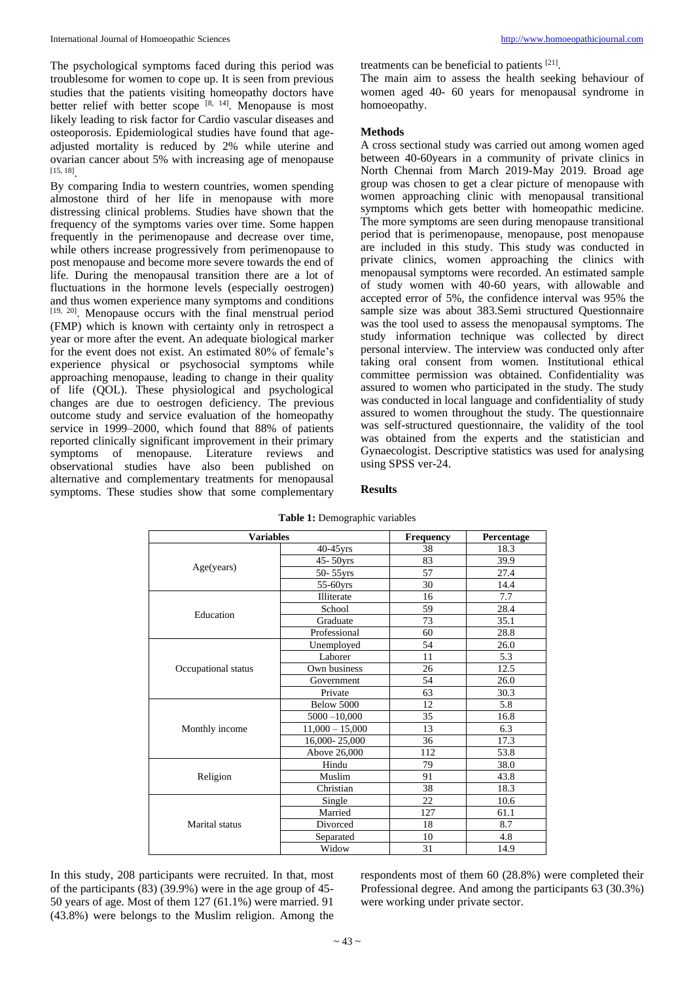The psychological symptoms faced during this period was troublesome for women to cope up. It is seen from previous studies that the patients visiting homeopathy doctors have better relief with better scope [8, 14]. Menopause is most likely leading to risk factor for Cardio vascular diseases and osteoporosis. Epidemiological studies have found that ageadjusted mortality is reduced by 2% while uterine and ovarian cancer about 5% with increasing age of menopause [15, 18] .

By comparing India to western countries, women spending almostone third of her life in menopause with more distressing clinical problems. Studies have shown that the frequency of the symptoms varies over time. Some happen frequently in the perimenopause and decrease over time, while others increase progressively from perimenopause to post menopause and become more severe towards the end of life. During the menopausal transition there are a lot of fluctuations in the hormone levels (especially oestrogen) and thus women experience many symptoms and conditions [19, 20]. Menopause occurs with the final menstrual period (FMP) which is known with certainty only in retrospect a year or more after the event. An adequate biological marker for the event does not exist. An estimated 80% of female's experience physical or psychosocial symptoms while approaching menopause, leading to change in their quality of life (QOL). These physiological and psychological changes are due to oestrogen deficiency. The previous outcome study and service evaluation of the homeopathy service in 1999–2000, which found that 88% of patients reported clinically significant improvement in their primary symptoms of menopause. Literature reviews and observational studies have also been published on alternative and complementary treatments for menopausal symptoms. These studies show that some complementary treatments can be beneficial to patients [21] .

The main aim to assess the health seeking behaviour of women aged 40- 60 years for menopausal syndrome in homoeopathy.

## **Methods**

A cross sectional study was carried out among women aged between 40-60years in a community of private clinics in North Chennai from March 2019-May 2019. Broad age group was chosen to get a clear picture of menopause with women approaching clinic with menopausal transitional symptoms which gets better with homeopathic medicine. The more symptoms are seen during menopause transitional period that is perimenopause, menopause, post menopause are included in this study. This study was conducted in private clinics, women approaching the clinics with menopausal symptoms were recorded. An estimated sample of study women with 40-60 years, with allowable and accepted error of 5%, the confidence interval was 95% the sample size was about 383.Semi structured Questionnaire was the tool used to assess the menopausal symptoms. The study information technique was collected by direct personal interview. The interview was conducted only after taking oral consent from women. Institutional ethical committee permission was obtained. Confidentiality was assured to women who participated in the study. The study was conducted in local language and confidentiality of study assured to women throughout the study. The questionnaire was self-structured questionnaire, the validity of the tool was obtained from the experts and the statistician and Gynaecologist. Descriptive statistics was used for analysing using SPSS ver-24.

| <b>Variables</b>    |                   | Frequency | Percentage |
|---------------------|-------------------|-----------|------------|
| Age(years)          | $40-45$ yrs       | 38        | 18.3       |
|                     | $45 - 50$ yrs     | 83        | 39.9       |
|                     | 50-55yrs          | 57        | 27.4       |
|                     | 55-60yrs          | 30        | 14.4       |
| Education           | Illiterate        | 16        | 7.7        |
|                     | School            | 59        | 28.4       |
|                     | Graduate          | 73        | 35.1       |
|                     | Professional      | 60        | 28.8       |
| Occupational status | Unemployed        | 54        | 26.0       |
|                     | Laborer           | 11        | 5.3        |
|                     | Own business      | 26        | 12.5       |
|                     | Government        | 54        | 26.0       |
|                     | Private           | 63        | 30.3       |
|                     | Below 5000        | 12        | 5.8        |
| Monthly income      | $5000 - 10,000$   | 35        | 16.8       |
|                     | $11,000 - 15,000$ | 13        | 6.3        |
|                     | 16,000-25,000     | 36        | 17.3       |
|                     | Above 26,000      | 112       | 53.8       |
| Religion            | Hindu             | 79        | 38.0       |
|                     | Muslim            | 91        | 43.8       |
|                     | Christian         | 38        | 18.3       |
| Marital status      | Single            | 22        | 10.6       |
|                     | Married           | 127       | 61.1       |
|                     | Divorced          | 18        | 8.7        |
|                     | Separated         | 10        | 4.8        |
|                     | Widow             | 31        | 14.9       |

# **Table 1:** Demographic variables

**Results**

In this study, 208 participants were recruited. In that, most of the participants (83) (39.9%) were in the age group of 45- 50 years of age. Most of them 127 (61.1%) were married. 91 (43.8%) were belongs to the Muslim religion. Among the

respondents most of them 60 (28.8%) were completed their Professional degree. And among the participants 63 (30.3%) were working under private sector.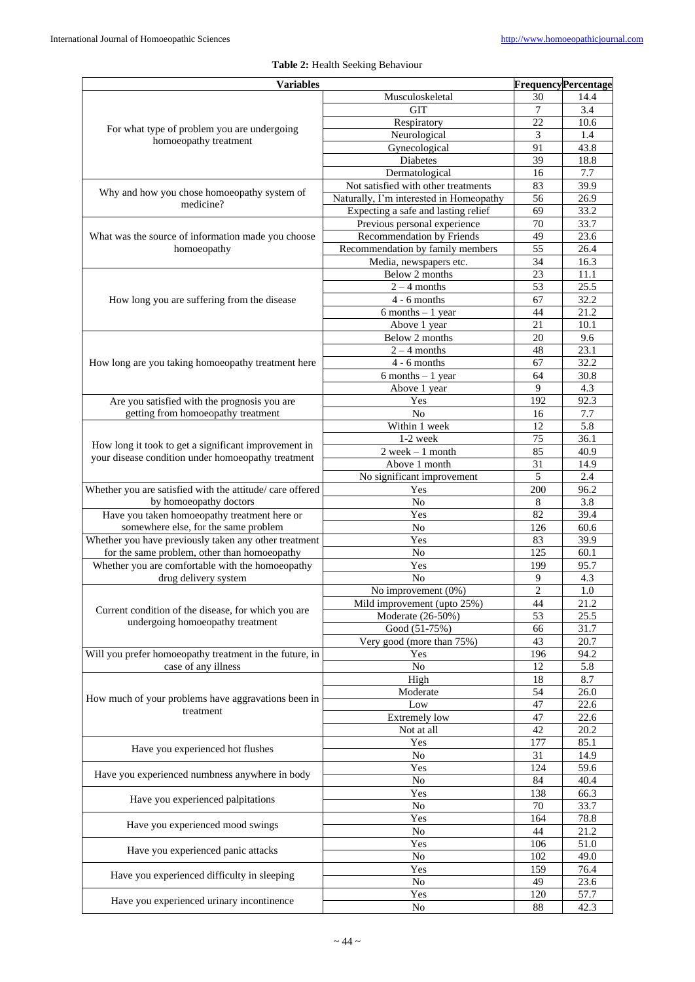| <b>Variables</b>                                          |                                          |                | <b>Frequency Percentage</b> |
|-----------------------------------------------------------|------------------------------------------|----------------|-----------------------------|
|                                                           | Musculoskeletal                          | 30             | 14.4                        |
|                                                           | <b>GIT</b>                               | 7              | 3.4                         |
| For what type of problem you are undergoing               | Respiratory                              | 22             | 10.6                        |
| homoeopathy treatment                                     | Neurological                             | 3              | 1.4                         |
|                                                           | Gynecological                            | 91             | 43.8                        |
|                                                           | <b>Diabetes</b>                          | 39             | 18.8                        |
|                                                           | Dermatological                           | 16             | 7.7                         |
| Why and how you chose homoeopathy system of               | Not satisfied with other treatments      | 83             | 39.9                        |
| medicine?                                                 | Naturally, I'm interested in Homeopathy  | 56             | 26.9                        |
|                                                           | Expecting a safe and lasting relief      | 69             | 33.2                        |
|                                                           | Previous personal experience             | 70             | 33.7                        |
| What was the source of information made you choose        | <b>Recommendation by Friends</b>         | 49             | 23.6                        |
| homoeopathy                                               | Recommendation by family members         | 55<br>34       | 26.4<br>16.3                |
|                                                           | Media, newspapers etc.<br>Below 2 months | 23             | 11.1                        |
|                                                           | $2 - 4$ months                           | 53             | 25.5                        |
|                                                           | $4 - 6$ months                           | 67             | 32.2                        |
| How long you are suffering from the disease               | $\overline{6}$ months - 1 year           | 44             | 21.2                        |
|                                                           | Above 1 year                             | 21             | 10.1                        |
|                                                           | Below 2 months                           | 20             | 9.6                         |
|                                                           | $2 - 4$ months                           | 48             | 23.1                        |
| How long are you taking homoeopathy treatment here        | $4 - 6$ months                           | 67             | 32.2                        |
|                                                           | $\overline{6}$ months - 1 year           | 64             | 30.8                        |
|                                                           | Above 1 year                             | 9              | 4.3                         |
| Are you satisfied with the prognosis you are              | Yes                                      | 192            | 92.3                        |
| getting from homoeopathy treatment                        | N <sub>0</sub>                           | 16             | 7.7                         |
|                                                           | Within 1 week                            | 12             | 5.8                         |
|                                                           | 1-2 week                                 | 75             | 36.1                        |
| How long it took to get a significant improvement in      | $2$ week $-1$ month                      | 85             | 40.9                        |
| your disease condition under homoeopathy treatment        | Above 1 month                            | 31             | 14.9                        |
|                                                           | No significant improvement               | 5              | 2.4                         |
| Whether you are satisfied with the attitude/ care offered | Yes                                      | 200            | $96.\overline{2}$           |
| by homoeopathy doctors                                    | No                                       | 8              | 3.8                         |
| Have you taken homoeopathy treatment here or              | Yes                                      | 82             | 39.4                        |
| somewhere else, for the same problem                      | N <sub>o</sub>                           | 126            | 60.6                        |
| Whether you have previously taken any other treatment     | Yes                                      | 83             | 39.9                        |
| for the same problem, other than homoeopathy              | No                                       | 125            | 60.1                        |
| Whether you are comfortable with the homoeopathy          | Yes                                      | 199            | 95.7                        |
| drug delivery system                                      | N <sub>o</sub>                           | 9              | 4.3                         |
|                                                           | No improvement $(0%)$                    | $\overline{2}$ | 1.0                         |
| Current condition of the disease, for which you are       | Mild improvement (upto 25%)              | 44             | 21.2                        |
| undergoing homoeopathy treatment                          | Moderate (26-50%)                        | 53             | 25.5                        |
|                                                           | Good (51-75%)                            | 66             | 31.7                        |
| Will you prefer homoeopathy treatment in the future, in   | Very good (more than 75%)                | 43             | 20.7                        |
|                                                           | Yes                                      | 196            | 94.2<br>5.8                 |
| case of any illness                                       | No                                       | 12             |                             |
|                                                           | High<br>Moderate                         | 18<br>54       | 8.7<br>26.0                 |
| How much of your problems have aggravations been in       | Low                                      | 47             | 22.6                        |
| treatment                                                 | <b>Extremely</b> low                     | 47             | 22.6                        |
|                                                           | Not at all                               | 42             | 20.2                        |
|                                                           | Yes                                      | 177            | 85.1                        |
| Have you experienced hot flushes                          | No                                       | 31             | 14.9                        |
|                                                           | Yes                                      | 124            | 59.6                        |
| Have you experienced numbness anywhere in body            | No                                       | 84             | 40.4                        |
|                                                           | Yes                                      | 138            | 66.3                        |
| Have you experienced palpitations                         | No                                       | 70             | 33.7                        |
|                                                           | Yes                                      | 164            | 78.8                        |
| Have you experienced mood swings                          | No                                       | 44             | 21.2                        |
|                                                           | Yes                                      | 106            | 51.0                        |
| Have you experienced panic attacks                        | $\rm No$                                 | 102            | 49.0                        |
| Have you experienced difficulty in sleeping               | Yes                                      | 159            | 76.4                        |
|                                                           | No                                       | 49             | 23.6                        |
| Have you experienced urinary incontinence                 | Yes                                      | 120            | 57.7                        |
|                                                           | No                                       | 88             | 42.3                        |

# **Table 2:** Health Seeking Behaviour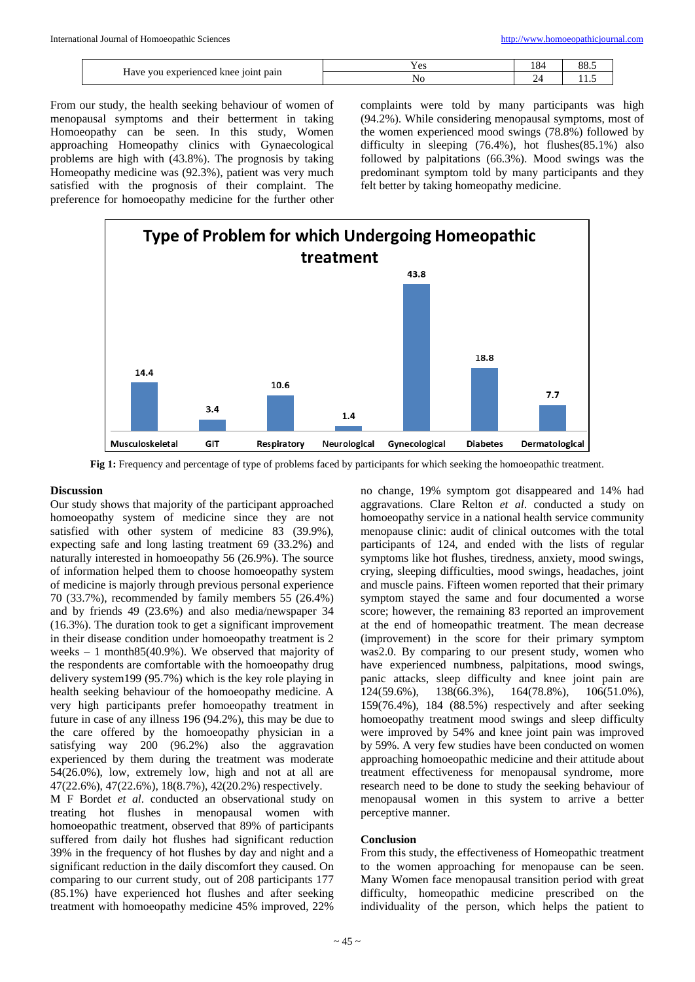| $\degree$ 101 $\rm{n}$<br>experienced<br>pain<br>knee<br>1ave -<br>vou | ⊥ ∪∪ | $\sim$<br>10 <sup>2</sup> | $\overline{O}$<br>$\circ$ $\circ$ $\circ$ |
|------------------------------------------------------------------------|------|---------------------------|-------------------------------------------|
|                                                                        | ำ    | -                         | .                                         |

From our study, the health seeking behaviour of women of menopausal symptoms and their betterment in taking Homoeopathy can be seen. In this study, Women approaching Homeopathy clinics with Gynaecological problems are high with (43.8%). The prognosis by taking Homeopathy medicine was (92.3%), patient was very much satisfied with the prognosis of their complaint. The preference for homoeopathy medicine for the further other complaints were told by many participants was high (94.2%). While considering menopausal symptoms, most of the women experienced mood swings (78.8%) followed by difficulty in sleeping (76.4%), hot flushes(85.1%) also followed by palpitations (66.3%). Mood swings was the predominant symptom told by many participants and they felt better by taking homeopathy medicine.



**Fig 1:** Frequency and percentage of type of problems faced by participants for which seeking the homoeopathic treatment.

## **Discussion**

Our study shows that majority of the participant approached homoeopathy system of medicine since they are not satisfied with other system of medicine 83 (39.9%), expecting safe and long lasting treatment 69 (33.2%) and naturally interested in homoeopathy 56 (26.9%). The source of information helped them to choose homoeopathy system of medicine is majorly through previous personal experience 70 (33.7%), recommended by family members 55 (26.4%) and by friends 49 (23.6%) and also media/newspaper 34 (16.3%). The duration took to get a significant improvement in their disease condition under homoeopathy treatment is 2 weeks  $-1$  month 85(40.9%). We observed that majority of the respondents are comfortable with the homoeopathy drug delivery system199 (95.7%) which is the key role playing in health seeking behaviour of the homoeopathy medicine. A very high participants prefer homoeopathy treatment in future in case of any illness 196 (94.2%), this may be due to the care offered by the homoeopathy physician in a satisfying way 200 (96.2%) also the aggravation experienced by them during the treatment was moderate 54(26.0%), low, extremely low, high and not at all are 47(22.6%), 47(22.6%), 18(8.7%), 42(20.2%) respectively.

M F Bordet *et al*. conducted an observational study on treating hot flushes in menopausal women with homoeopathic treatment, observed that 89% of participants suffered from daily hot flushes had significant reduction 39% in the frequency of hot flushes by day and night and a significant reduction in the daily discomfort they caused. On comparing to our current study, out of 208 participants 177 (85.1%) have experienced hot flushes and after seeking treatment with homoeopathy medicine 45% improved, 22%

no change, 19% symptom got disappeared and 14% had aggravations. Clare Relton *et al*. conducted a study on homoeopathy service in a national health service community menopause clinic: audit of clinical outcomes with the total participants of 124, and ended with the lists of regular symptoms like hot flushes, tiredness, anxiety, mood swings, crying, sleeping difficulties, mood swings, headaches, joint and muscle pains. Fifteen women reported that their primary symptom stayed the same and four documented a worse score; however, the remaining 83 reported an improvement at the end of homeopathic treatment. The mean decrease (improvement) in the score for their primary symptom was2.0. By comparing to our present study, women who have experienced numbness, palpitations, mood swings, panic attacks, sleep difficulty and knee joint pain are 124(59.6%), 138(66.3%), 164(78.8%), 106(51.0%), 159(76.4%), 184 (88.5%) respectively and after seeking homoeopathy treatment mood swings and sleep difficulty were improved by 54% and knee joint pain was improved by 59%. A very few studies have been conducted on women approaching homoeopathic medicine and their attitude about treatment effectiveness for menopausal syndrome, more research need to be done to study the seeking behaviour of menopausal women in this system to arrive a better perceptive manner.

## **Conclusion**

From this study, the effectiveness of Homeopathic treatment to the women approaching for menopause can be seen. Many Women face menopausal transition period with great difficulty, homeopathic medicine prescribed on the individuality of the person, which helps the patient to